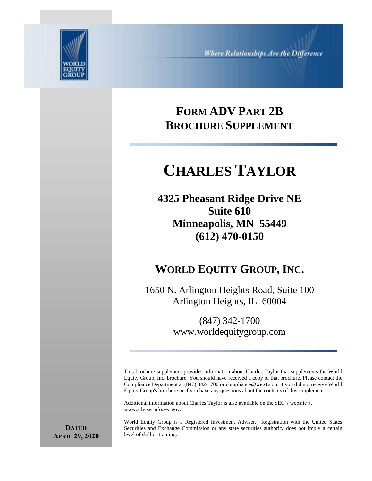

# **FORM ADV PART 2B BROCHURE SUPPLEMENT**

# **CHARLES TAYLOR**

**4325 Pheasant Ridge Drive NE Suite 610 Minneapolis, MN 55449 (612) 470-0150**

# **WORLD EQUITY GROUP, INC.**

1650 N. Arlington Heights Road, Suite 100 Arlington Heights, IL 60004

> (847) 342-1700 www.worldequitygroup.com

This brochure supplement provides information about Charles Taylor that supplements the World Equity Group, Inc. brochure. You should have received a copy of that brochure. Please contact the Compliance Department at (847) 342-1700 or compliance@weg1.com if you did not receive World Equity Group's brochure or if you have any questions about the contents of this supplement.

Additional information about Charles Taylor is also available on the SEC's website at www.adviserinfo.sec.gov.

World Equity Group is a Registered Investment Adviser. Registration with the United States Securities and Exchange Commission or any state securities authority does not imply a certain level of skill or training.

**DATED APRIL 29, 2020**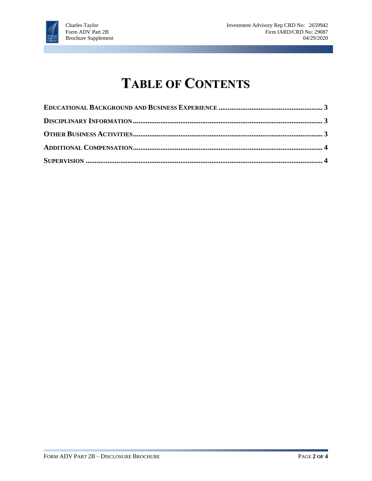

# **TABLE OF CONTENTS**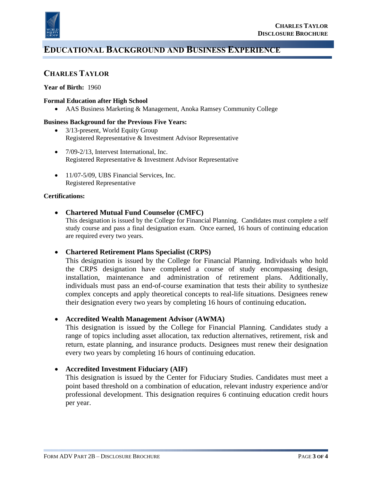

### **EDUCATIONAL BACKGROUND AND BUSINESS EXPERIENCE**

#### **CHARLES TAYLOR**

#### **Year of Birth:** 1960

#### **Formal Education after High School**

• AAS Business Marketing & Management, Anoka Ramsey Community College

#### **Business Background for the Previous Five Years:**

- 3/13-present, World Equity Group Registered Representative & Investment Advisor Representative
- 7/09-2/13, Intervest International, Inc. Registered Representative & Investment Advisor Representative
- 11/07-5/09, UBS Financial Services, Inc. Registered Representative

#### **Certifications:**

#### • **Chartered Mutual Fund Counselor (CMFC)**

This designation is issued by the College for Financial Planning. Candidates must complete a self study course and pass a final designation exam. Once earned, 16 hours of continuing education are required every two years.

#### • **Chartered Retirement Plans Specialist (CRPS)**

This designation is issued by the College for Financial Planning. Individuals who hold the CRPS designation have completed a course of study encompassing design, installation, maintenance and administration of retirement plans. Additionally, individuals must pass an end-of-course examination that tests their ability to synthesize complex concepts and apply theoretical concepts to real-life situations. Designees renew their designation every two years by completing 16 hours of continuing education**.**

#### • **Accredited Wealth Management Advisor (AWMA)**

This designation is issued by the College for Financial Planning. Candidates study a range of topics including asset allocation, tax reduction alternatives, retirement, risk and return, estate planning, and insurance products. Designees must renew their designation every two years by completing 16 hours of continuing education.

#### • **Accredited Investment Fiduciary (AIF)**

This designation is issued by the Center for Fiduciary Studies. Candidates must meet a point based threshold on a combination of education, relevant industry experience and/or professional development. This designation requires 6 continuing education credit hours per year.